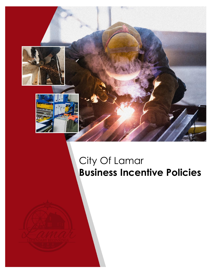

# City Of Lamar **Business Incentive Policies**

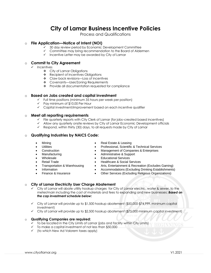## **City of Lamar Business Incentive Policies**

Process and Qualifications

#### o **File Application—Notice of Intent (NOI)**

- ✓ 30 day review period by Economic Development Committee
- ✓ Committee may bring recommendation to the Board of Aldermen
- ✓ Incentive Letter may be awarded by City of Lamar

#### o **Commit to City Agreement**

- ✓ Incentives
	- ❖ City of Lamar Obligations
	- ❖ Recipient of Incentives Obligations
	- ❖ Claw back revisions—Loss of incentives
	- ❖ Covenants—User/Zoning Requirements
	- ❖ Provide all documentation requested for compliance

#### o **Based on Jobs created and capital investment**

- $\checkmark$  Full time positions (minimum 35 hours per week per position)
- ✓ Pay minimum of \$10.00 Per Hour
- ✓ Capital investment/improvement based on each incentive qualifier

#### o **Meet all reporting requirements**

- ✓ File quarterly reports with City Clerk of Lamar (for jobs–created based incentives)
- ✓ Allow any quarterly onsite reviews by City of Lamar Economic Development officials
- ✓ Respond, within thirty (30) days, to all requests made by City of Lamar

#### o **Qualifying Industries by NAICS Code:**

- Mining
- **Utilities**
- **Construction**
- **Manufacturing** 
	- Wholesale
- Retail Trade
- Transportation & Warehousing
- **Information**
- Finance & Insurance
- Real Estate & Leasing
- Professional, Scientific & Technical Services
- Management of Companies & Enterprises
- Administrative & Support
- Educational Services
- Healthcare & Social Services
- Arts, Entertainment & Recreation (Excludes Gaming)
- Accommodations (Excluding Drinking Establishments)
- Other Services (Excluding Religious Organizations)

#### **City of Lamar Electricity User Charge Abatement**

- City of Lamar will abate utility hookup charges for City of Lamar electric, water & sewer, to the meter/main including the cost of materials and fees to expanding and new businesses; *Based on the cap investment schedule below:*
- $\checkmark$  City of Lamar will provide up to \$1,500 hookup abatement (\$50,000-\$74,999. minimum capital investment)
- $\checkmark$  City of Lamar will provide up to \$2,500 hookup abatement (\$75,000 minimum capital investment)

#### o **Qualifying Companies are required:**

- $\checkmark$  To be located in the City Limits of Lamar (jobs and facility within City Limits)
- ✓ To make a capital investment of not less than \$50,000
- ✓ (to which New Ad Valorem taxes apply)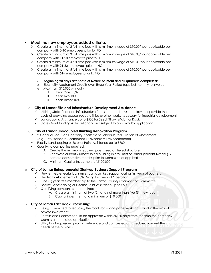#### ✓ **Meet the new employees added criteria:**

- $\triangleright$  Create a minimum of 2 full time jobs with a minimum wage of \$10.00/hour applicable per company with 0-10 employees prior to NOI
- ➢ Create a minimum of 3 full time jobs with a minimum wage of \$10.00/hour applicable per company with 11-20 employees prior to NOI
- ➢ Create a minimum of 4 full time jobs with a minimum wage of \$10.00/hour applicable per company with 21-50 employees prior to NOI
- $\triangleright$  Create a minimum of 5 full time jobs with a minimum wage of \$10.00/hour applicable per company with 51+ employees prior to NOI

#### o **Beginning 90 days after date of Notice of Intent and all qualifiers completed:**

- o Electricity Abatement Credits over Three Year Period (applied monthly to invoice)
- o Maximum \$15,000 Annually
	- I. Year One: 15%
	- II. Year Two:10%
	- III. Year Three: 10%

#### o **City of Lamar Site and Infrastructure Development Assistance**

- ✓ Utilizing State–financed infrastructure funds that can be used to lower or provide the costs of providing access roads, utilities or other works necessary for industrial development
- Landscaping Assistance up to \$500 for Seed, Straw, Mulch or Rock
- ✓ State Grant funding is discretionary and subject to approval by application

#### o **City of Lamar Unoccupied Building Renovation Program**

- ✓ 2% Annual Bonus on Electricity Abatement Schedule for Duration of Abatement
- (e.g., 15% Standard Abatement + 2% Bonus = 17% Abatement)
- ✓ Facility Landscaping or Exterior Paint Assistance up to \$500
- ✓ Qualifying companies required:
	- A. Create the minimum required jobs based on tiered structure
	- B. Renovate currently unoccupied building in city limits of Lamar (vacant twelve (12) or more consecutive months prior to submission of application)
	- C. Minimum Capital Investment of \$100,000

#### o **City of Lamar Entrepreneurial Start–up Business Support Program**

- ✓ New entrepreneurial businesses can gain key support during first year of business
- ✓ Electricity Abatement of 10% During First year of Operation
- ✓ One (1) year free membership to the Barton County Chamber of Commerce
- ✓ Facility Landscaping or Exterior Paint Assistance up to \$500
- ✓ Qualifying companies are required:
	- A. Create a minimum of two (2), and not more than five (5), new jobs
	- B. Capital investment of a minimum of \$10,000

#### **City of Lamar Fast Track Processing:**

- ✓ Being committed to reducing the roadblocks and paperwork that stand in the way of private investment
- ✓ Permits and Licenses should be approved within 30–60 days from the time the company submits a completed application
- ✓ Utility hook–up issued priority preference and completed as scheduled to meet the needs of the business